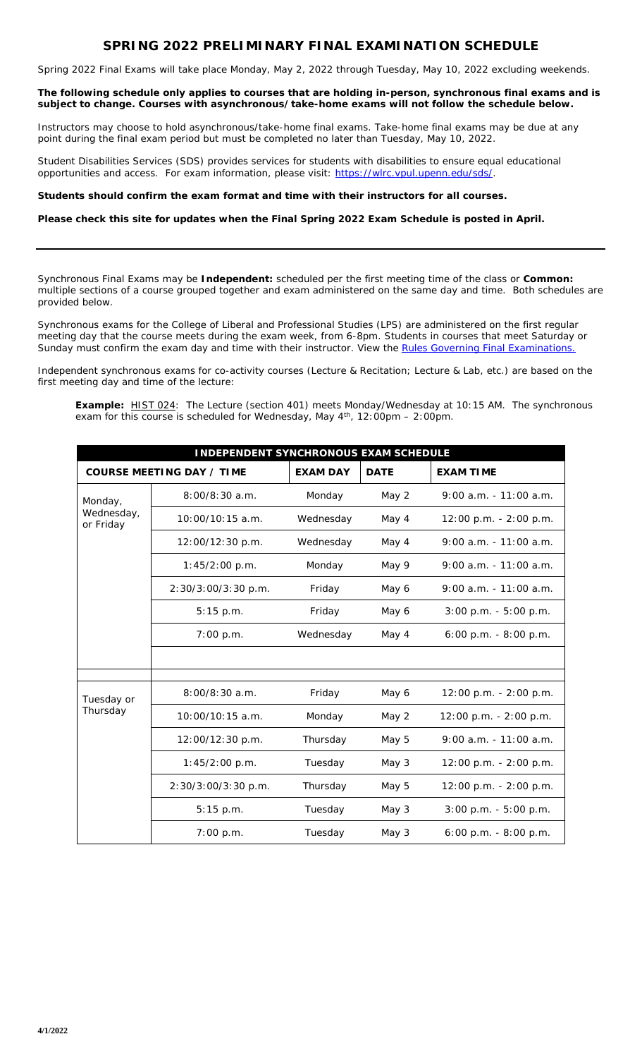## **SPRING 2022 PRELIMINARY FINAL EXAMINATION SCHEDULE**

Spring 2022 Final Exams will take place Monday, May 2, 2022 through Tuesday, May 10, 2022 excluding weekends.

**The following schedule only applies to courses that are holding in-person, synchronous final exams and is subject to change. Courses with asynchronous/take-home exams will not follow the schedule below.** 

Instructors may choose to hold asynchronous/take-home final exams. Take-home final exams may be due at any point during the final exam period but must be completed no later than Tuesday, May 10, 2022.

Student Disabilities Services (SDS) provides services for students with disabilities to ensure equal educational opportunities and access. For exam information, please visit: [https://wlrc.vpul.upenn.edu/sds/.](https://wlrc.vpul.upenn.edu/sds/)

## **Students should confirm the exam format and time with their instructors for all courses.**

## **Please check this site for updates when the Final Spring 2022 Exam Schedule is posted in April.**

Synchronous Final Exams may be *Independent:* scheduled per the first meeting time of the class or *Common:* multiple sections of a course grouped together and exam administered on the same day and time. Both schedules are provided below.

Synchronous exams for the College of Liberal and Professional Studies (LPS) are administered on the first regular meeting day that the course meets during the exam week, from 6-8pm. Students in courses that meet Saturday or Sunday must confirm the exam day and time with their instructor. View the [Rules Governing Final Examinations.](https://catalog.upenn.edu/pennbook/final-examinations/)

Independent synchronous exams for co-activity courses (Lecture & Recitation; Lecture & Lab, etc.) are based on the first meeting day and time of the lecture:

**Example:** HIST 024: The Lecture (section 401) meets Monday/Wednesday at 10:15 AM. The synchronous exam for this course is scheduled for Wednesday, May  $4^{\text{th}}$ , 12:00pm – 2:00pm.

| <b>INDEPENDENT SYNCHRONOUS EXAM SCHEDULE</b> |                                  |                 |             |                           |  |  |  |  |  |  |
|----------------------------------------------|----------------------------------|-----------------|-------------|---------------------------|--|--|--|--|--|--|
|                                              | <b>COURSE MEETING DAY / TIME</b> | <b>EXAM DAY</b> | <b>DATE</b> | <b>EXAM TIME</b>          |  |  |  |  |  |  |
| Monday,<br>Wednesday,<br>or Friday           | $8:00/8:30$ a.m.                 | Monday          | May 2       | $9:00$ a.m. $-11:00$ a.m. |  |  |  |  |  |  |
|                                              | $10:00/10:15$ a.m.               | Wednesday       | May 4       | 12:00 p.m. - 2:00 p.m.    |  |  |  |  |  |  |
|                                              | 12:00/12:30 p.m.                 | Wednesday       | May 4       | $9:00$ a.m. $-11:00$ a.m. |  |  |  |  |  |  |
|                                              | 1:45/2:00 p.m.                   | Monday          | May 9       | $9:00$ a.m. $-11:00$ a.m. |  |  |  |  |  |  |
|                                              | 2:30/3:00/3:30 p.m.              | Friday          | May 6       | $9:00$ a.m. $-11:00$ a.m. |  |  |  |  |  |  |
|                                              | 5:15 p.m.                        | Friday          | May 6       | $3:00$ p.m. $-5:00$ p.m.  |  |  |  |  |  |  |
|                                              | 7:00 p.m.                        | Wednesday       | May 4       | $6:00$ p.m. $-8:00$ p.m.  |  |  |  |  |  |  |
|                                              |                                  |                 |             |                           |  |  |  |  |  |  |
|                                              |                                  |                 |             |                           |  |  |  |  |  |  |
| Tuesday or<br>Thursday                       | $8:00/8:30$ a.m.                 | Friday          | May 6       | $12:00$ p.m. $-2:00$ p.m. |  |  |  |  |  |  |
|                                              | 10:00/10:15 a.m.                 | Monday          | May 2       | 12:00 p.m. - 2:00 p.m.    |  |  |  |  |  |  |
|                                              | 12:00/12:30 p.m.                 | Thursday        | May 5       | $9:00$ a.m. - 11:00 a.m.  |  |  |  |  |  |  |
|                                              | 1:45/2:00 p.m.                   | Tuesday         | May 3       | $12:00$ p.m. $-2:00$ p.m. |  |  |  |  |  |  |
|                                              | 2:30/3:00/3:30 p.m.              | Thursday        | May 5       | 12:00 p.m. - 2:00 p.m.    |  |  |  |  |  |  |
|                                              | 5:15 p.m.                        | Tuesday         | May 3       | $3:00$ p.m. $-5:00$ p.m.  |  |  |  |  |  |  |
|                                              | 7:00 p.m.                        | Tuesday         | May 3       | $6:00$ p.m. $-8:00$ p.m.  |  |  |  |  |  |  |